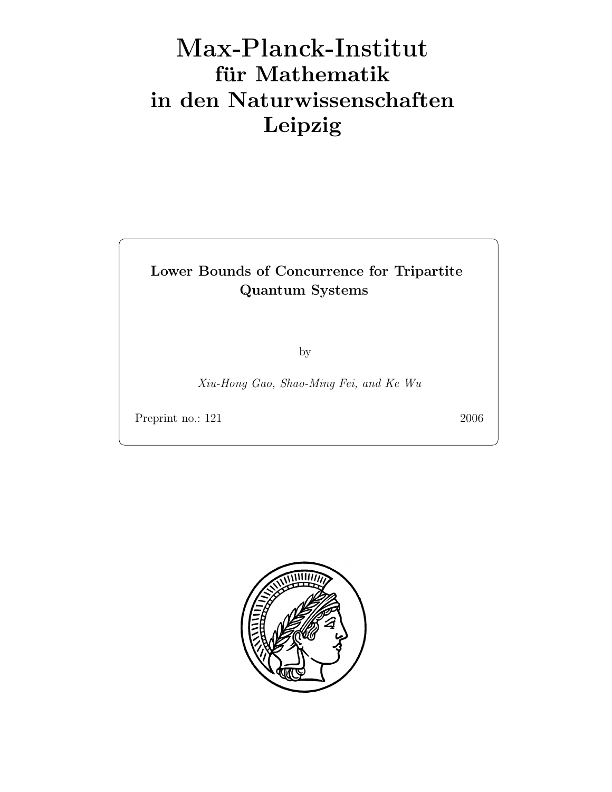## Max-Plan
k-Institut für Mathematik in den Naturwissenschaften Leipzig

## Lower Bounds of Concurrence for Tripartite Quantum Systems

by

Xiu-Hong Gao, Shao-Ming Fei, and Ke Wu

Preprint no.: 121 2006

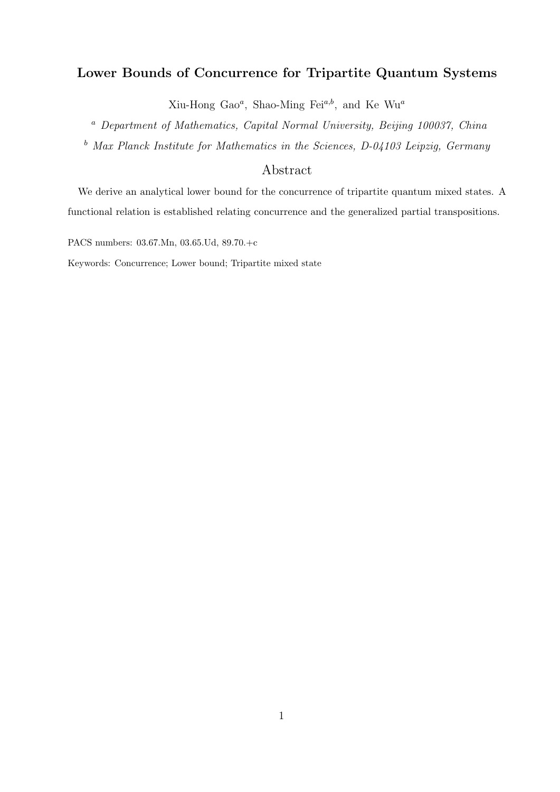## Lower Bounds of Concurrence for Tripartite Quantum Systems

Xiu-Hong Gao<sup>a</sup>, Shao-Ming Fei<sup>a,b</sup>, and Ke Wu<sup>a</sup>

<sup>a</sup> Department of Mathematics, Capital Normal University, Beijing 100037, China

 $b$  Max Planck Institute for Mathematics in the Sciences, D-04103 Leipzig, Germany

## Abstract

We derive an analytical lower bound for the concurrence of tripartite quantum mixed states. A functional relation is established relating concurrence and the generalized partial transpositions.

PACS numbers: 03.67.Mn, 03.65.Ud, 89.70.+c

Keywords: Concurrence; Lower bound; Tripartite mixed state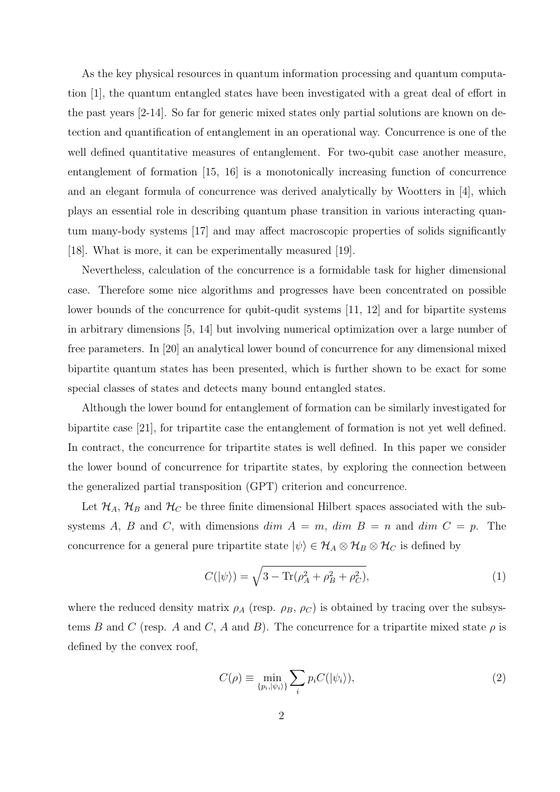As the key physical resources in quantum information processing and quantum computation [1], the quantum entangled states have been investigated with a great deal of effort in the past years [2-14]. So far for generic mixed states only partial solutions are known on detection and quantification of entanglement in an operational way. Concurrence is one of the well defined quantitative measures of entanglement. For two-qubit case another measure, entanglement of formation [15, 16] is a monotonically increasing function of concurrence and an elegant formula of concurrence was derived analytically by Wootters in [4], which plays an essential role in describing quantum phase transition in various interacting quantum many-body systems [17] and may affect macroscopic properties of solids significantly [18]. What is more, it can be experimentally measured [19].

Nevertheless, calculation of the concurrence is a formidable task for higher dimensional case. Therefore some nice algorithms and progresses have been concentrated on possible lower bounds of the concurrence for qubit-qudit systems [11, 12] and for bipartite systems in arbitrary dimensions [5, 14] but involving numerical optimization over a large number of free parameters. In [20] an analytical lower bound of concurrence for any dimensional mixed bipartite quantum states has been presented, which is further shown to be exact for some special classes of states and detects many bound entangled states.

Although the lower bound for entanglement of formation can be similarly investigated for bipartite case [21], for tripartite case the entanglement of formation is not yet well defined. In contract, the concurrence for tripartite states is well defined. In this paper we consider the lower bound of concurrence for tripartite states, by exploring the connection between the generalized partial transposition (GPT) criterion and concurrence.

Let  $\mathcal{H}_A$ ,  $\mathcal{H}_B$  and  $\mathcal{H}_C$  be three finite dimensional Hilbert spaces associated with the subsystems A, B and C, with dimensions  $\dim A = m$ ,  $\dim B = n$  and  $\dim C = p$ . The concurrence for a general pure tripartite state  $|\psi\rangle \in \mathcal{H}_A \otimes \mathcal{H}_B \otimes \mathcal{H}_C$  is defined by

$$
C(|\psi\rangle) = \sqrt{3 - \text{Tr}(\rho_A^2 + \rho_B^2 + \rho_C^2)},\tag{1}
$$

where the reduced density matrix  $\rho_A$  (resp.  $\rho_B$ ,  $\rho_C$ ) is obtained by tracing over the subsystems B and C (resp. A and C, A and B). The concurrence for a tripartite mixed state  $\rho$  is defined by the convex roof,

$$
C(\rho) \equiv \min_{\{p_i, |\psi_i\rangle\}} \sum_i p_i C(|\psi_i\rangle),\tag{2}
$$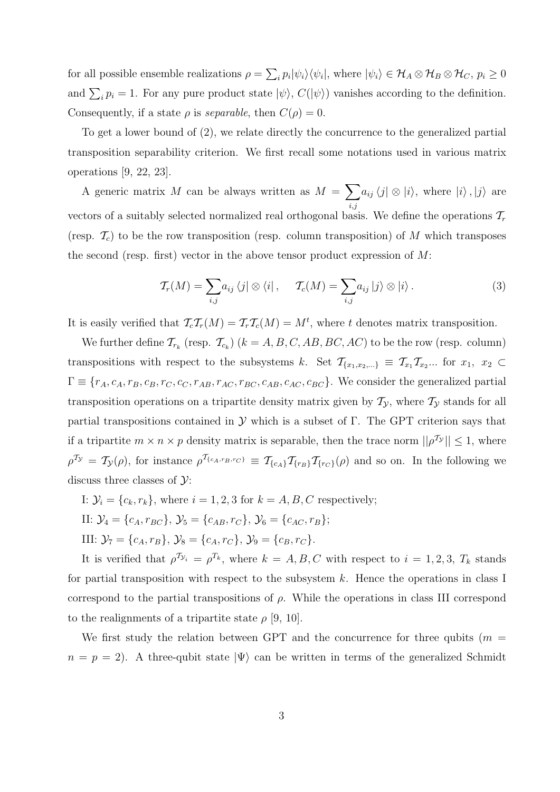for all possible ensemble realizations  $\rho = \sum_i p_i |\psi_i\rangle \langle \psi_i|$ , where  $|\psi_i\rangle \in \mathcal{H}_A \otimes \mathcal{H}_B \otimes \mathcal{H}_C$ ,  $p_i \ge 0$ and  $\sum_i p_i = 1$ . For any pure product state  $|\psi\rangle$ ,  $C(|\psi\rangle)$  vanishes according to the definition. Consequently, if a state  $\rho$  is *separable*, then  $C(\rho) = 0$ .

To get a lower bound of (2), we relate directly the concurrence to the generalized partial transposition separability criterion. We first recall some notations used in various matrix operations [9, 22, 23].

A generic matrix M can be always written as  $M = \sum$  $i,j$  $a_{ij} \langle j | \otimes | i \rangle$ , where  $|i \rangle$ ,  $|j \rangle$  are vectors of a suitably selected normalized real orthogonal basis. We define the operations  $\mathcal{T}_r$ (resp.  $\mathcal{T}_c$ ) to be the row transposition (resp. column transposition) of M which transposes the second (resp. first) vector in the above tensor product expression of  $M$ :

$$
\mathcal{T}_r(M) = \sum_{i,j} a_{ij} \langle j | \otimes \langle i | , \quad \mathcal{T}_c(M) = \sum_{i,j} a_{ij} | j \rangle \otimes | i \rangle. \tag{3}
$$

It is easily verified that  $\mathcal{T}_c\mathcal{T}_r(M) = \mathcal{T}_r\mathcal{T}_c(M) = M^t$ , where t denotes matrix transposition.

We further define  $\mathcal{T}_{r_k}$  (resp.  $\mathcal{T}_{c_k}$ )  $(k = A, B, C, AB, BC, AC)$  to be the row (resp. column) transpositions with respect to the subsystems k. Set  $\mathcal{T}_{\{x_1,x_2,...\}} \equiv \mathcal{T}_{x_1} \mathcal{T}_{x_2} ...$  for  $x_1, x_2 \in$  $\Gamma \equiv \{r_A,c_A,r_B,c_B,r_C,c_C,r_{AB},r_{AC},r_{BC},c_{AB},c_{AC},c_{BC}\}.$  We consider the generalized partial transposition operations on a tripartite density matrix given by  $\mathcal{T}_{\mathcal{Y}}$ , where  $\mathcal{T}_{\mathcal{Y}}$  stands for all partial transpositions contained in  $\mathcal Y$  which is a subset of Γ. The GPT criterion says that if a tripartite  $m \times n \times p$  density matrix is separable, then the trace norm  $||\rho^{T}y|| \leq 1$ , where  $\rho^{T_{\mathcal{Y}}} = \mathcal{T}_{\mathcal{Y}}(\rho)$ , for instance  $\rho^{T_{\{c_A, r_B, r_C\}}} \equiv \mathcal{T}_{\{c_A\}} \mathcal{T}_{\{r_B\}} \mathcal{T}_{\{r_C\}}(\rho)$  and so on. In the following we discuss three classes of  $\mathcal{Y}$ :

I:  $\mathcal{Y}_i = \{c_k, r_k\}$ , where  $i = 1, 2, 3$  for  $k = A, B, C$  respectively;

II: 
$$
\mathcal{Y}_4 = \{c_A, r_{BC}\}, \mathcal{Y}_5 = \{c_{AB}, r_C\}, \mathcal{Y}_6 = \{c_{AC}, r_B\};
$$

III:  $\mathcal{Y}_7 = \{c_A, r_B\}, \mathcal{Y}_8 = \{c_A, r_C\}, \mathcal{Y}_9 = \{c_B, r_C\}.$ 

It is verified that  $\rho^{\mathcal{T}_{\mathcal{Y}_i}} = \rho^{\mathcal{T}_k}$ , where  $k = A, B, C$  with respect to  $i = 1, 2, 3, T_k$  stands for partial transposition with respect to the subsystem  $k$ . Hence the operations in class I correspond to the partial transpositions of  $\rho$ . While the operations in class III correspond to the realignments of a tripartite state  $\rho$  [9, 10].

We first study the relation between GPT and the concurrence for three qubits ( $m =$  $n = p = 2$ ). A three-qubit state  $|\Psi\rangle$  can be written in terms of the generalized Schmidt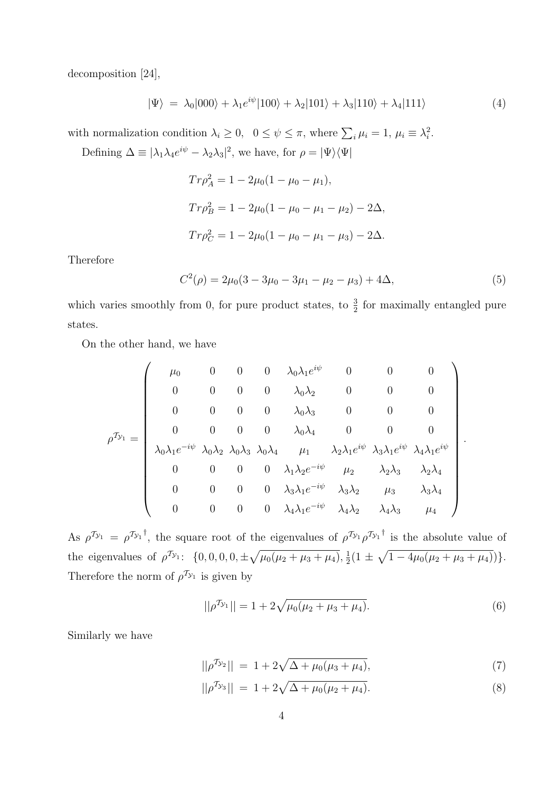decomposition [24],

$$
|\Psi\rangle = \lambda_0|000\rangle + \lambda_1 e^{i\psi}|100\rangle + \lambda_2|101\rangle + \lambda_3|110\rangle + \lambda_4|111\rangle \tag{4}
$$

with normalization condition  $\lambda_i \geq 0$ ,  $0 \leq \psi \leq \pi$ , where  $\sum_i \mu_i = 1$ ,  $\mu_i \equiv \lambda_i^2$ . Defining  $\Delta \equiv |\lambda_1 \lambda_4 e^{i\psi} - \lambda_2 \lambda_3|^2$ , we have, for  $\rho = |\Psi\rangle \langle \Psi|$ 

$$
Tr\rho_A^2 = 1 - 2\mu_0(1 - \mu_0 - \mu_1),
$$
  
\n
$$
Tr\rho_B^2 = 1 - 2\mu_0(1 - \mu_0 - \mu_1 - \mu_2) - 2\Delta,
$$
  
\n
$$
Tr\rho_C^2 = 1 - 2\mu_0(1 - \mu_0 - \mu_1 - \mu_3) - 2\Delta.
$$

Therefore

$$
C^{2}(\rho) = 2\mu_{0}(3 - 3\mu_{0} - 3\mu_{1} - \mu_{2} - \mu_{3}) + 4\Delta, \tag{5}
$$

which varies smoothly from 0, for pure product states, to  $\frac{3}{2}$  for maximally entangled pure states.

On the other hand, we have

$$
\rho^{\mathcal{I}_{\mathcal{Y}_{1}}} = \left(\begin{array}{ccccccccc}\n\mu_{0} & 0 & 0 & 0 & \lambda_{0}\lambda_{1}e^{i\psi} & 0 & 0 & 0 \\
0 & 0 & 0 & 0 & \lambda_{0}\lambda_{2} & 0 & 0 & 0 \\
0 & 0 & 0 & 0 & \lambda_{0}\lambda_{3} & 0 & 0 & 0 \\
0 & 0 & 0 & 0 & \lambda_{0}\lambda_{4} & 0 & 0 & 0 \\
\lambda_{0}\lambda_{1}e^{-i\psi} & \lambda_{0}\lambda_{2} & \lambda_{0}\lambda_{3} & \lambda_{0}\lambda_{4} & \mu_{1} & \lambda_{2}\lambda_{1}e^{i\psi} & \lambda_{3}\lambda_{1}e^{i\psi} & \lambda_{4}\lambda_{1}e^{i\psi} \\
0 & 0 & 0 & 0 & \lambda_{1}\lambda_{2}e^{-i\psi} & \mu_{2} & \lambda_{2}\lambda_{3} & \lambda_{2}\lambda_{4} \\
0 & 0 & 0 & 0 & \lambda_{3}\lambda_{1}e^{-i\psi} & \lambda_{3}\lambda_{2} & \mu_{3} & \lambda_{3}\lambda_{4} \\
0 & 0 & 0 & 0 & \lambda_{4}\lambda_{1}e^{-i\psi} & \lambda_{4}\lambda_{2} & \lambda_{4}\lambda_{3} & \mu_{4}\n\end{array}\right).
$$

As  $\rho^{\tau_{y_1}} = \rho^{\tau_{y_1}}$ , the square root of the eigenvalues of  $\rho^{\tau_{y_1}} \rho^{\tau_{y_1}}$  is the absolute value of the eigenvalues of  $\rho^{\mathcal{I}_{\mathcal{Y}_1}}$ :  $\{0,0,0,0,\pm\sqrt{\mu_0(\mu_2+\mu_3+\mu_4)},\frac{1}{2}\}$  $\frac{1}{2}(1 \pm \sqrt{1-4\mu_0(\mu_2+\mu_3+\mu_4)})\}.$ Therefore the norm of  $\rho^{T_{\mathcal{Y}_1}}$  is given by

$$
||\rho^{\mathcal{I}_{\mathcal{Y}_{1}}}|| = 1 + 2\sqrt{\mu_{0}(\mu_{2} + \mu_{3} + \mu_{4})}.
$$
\n(6)

Similarly we have

$$
||\rho^{\mathcal{I}_{\mathcal{Y}_2}}|| = 1 + 2\sqrt{\Delta + \mu_0(\mu_3 + \mu_4)}, \tag{7}
$$

$$
||\rho^{\mathcal{I}_{\mathcal{Y}_{3}}}|| = 1 + 2\sqrt{\Delta + \mu_{0}(\mu_{2} + \mu_{4})}.
$$
\n(8)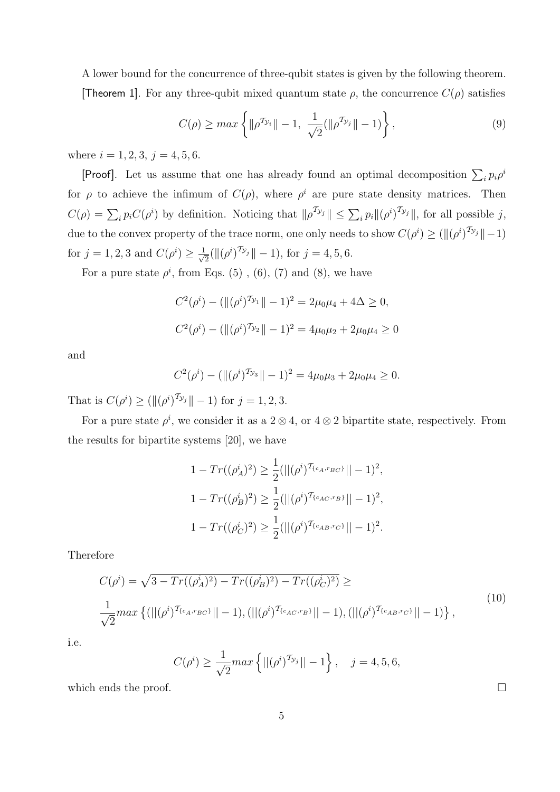A lower bound for the concurrence of three-qubit states is given by the following theorem. **[Theorem 1]**. For any three-qubit mixed quantum state  $\rho$ , the concurrence  $C(\rho)$  satisfies

$$
C(\rho) \ge \max\left\{ \|\rho^{\mathcal{T}_{\mathcal{Y}_i}}\| - 1, \ \frac{1}{\sqrt{2}}(\|\rho^{\mathcal{T}_{\mathcal{Y}_j}}\| - 1) \right\},\tag{9}
$$

where  $i = 1, 2, 3, j = 4, 5, 6$ .

[Proof]. Let us assume that one has already found an optimal decomposition  $\sum_i p_i \rho^i$ for  $\rho$  to achieve the infimum of  $C(\rho)$ , where  $\rho^i$  are pure state density matrices. Then  $C(\rho) = \sum_i p_i C(\rho^i)$  by definition. Noticing that  $\|\rho^{T_{\mathcal{Y}_j}}\| \leq \sum_i p_i \|(\rho^i)^{T_{\mathcal{Y}_j}}\|$ , for all possible j, due to the convex property of the trace norm, one only needs to show  $C(\rho^i) \geq (\|(\rho^i)^{2y_j}\| - 1)$ for  $j = 1, 2, 3$  and  $C(\rho^i) \ge \frac{1}{\sqrt{2}}$  $\frac{1}{2}(\|(\rho^i)^{T_{\mathcal{Y}_j}}\| - 1), \text{ for } j = 4, 5, 6.$ 

For a pure state  $\rho^i$ , from Eqs. (5), (6), (7) and (8), we have

$$
C^2(\rho^i) - (\|(\rho^i)^{\mathcal{T}_{\mathcal{Y}_1}}\| - 1)^2 = 2\mu_0\mu_4 + 4\Delta \ge 0,
$$
  

$$
C^2(\rho^i) - (\|(\rho^i)^{\mathcal{T}_{\mathcal{Y}_2}}\| - 1)^2 = 4\mu_0\mu_2 + 2\mu_0\mu_4 \ge 0
$$

and

$$
C^{2}(\rho^{i}) - (\|(\rho^{i})^{\mathcal{T}_{\mathcal{Y}_{3}}}\| - 1)^{2} = 4\mu_{0}\mu_{3} + 2\mu_{0}\mu_{4} \geq 0.
$$

That is  $C(\rho^i) \ge (\|(\rho^i)^{T_{\mathcal{Y}_j}}\| - 1)$  for  $j = 1, 2, 3$ .

For a pure state  $\rho^i$ , we consider it as a 2  $\otimes$  4, or 4  $\otimes$  2 bipartite state, respectively. From the results for bipartite systems [20], we have

$$
1 - Tr((\rho_A^i)^2) \ge \frac{1}{2} (||(\rho^i)^{\mathcal{T}_{\{c_A, r_{BC}\}}}|| - 1)^2,
$$
  

$$
1 - Tr((\rho_B^i)^2) \ge \frac{1}{2} (||(\rho^i)^{\mathcal{T}_{\{c_{AC}, r_B\}}}|| - 1)^2,
$$
  

$$
1 - Tr((\rho_C^i)^2) \ge \frac{1}{2} (||(\rho^i)^{\mathcal{T}_{\{c_{AB}, r_C\}}}|| - 1)^2.
$$

Therefore

$$
C(\rho^{i}) = \sqrt{3 - Tr((\rho_{A}^{i})^{2}) - Tr((\rho_{B}^{i})^{2}) - Tr((\rho_{C}^{i})^{2})} \ge
$$
  

$$
\frac{1}{\sqrt{2}} max \{ (||(\rho^{i})^{T_{\{c_{A}, r_{BC}\}}}|| - 1), (||(\rho^{i})^{T_{\{c_{AC}, r_{B}\}}}|| - 1), (||(\rho^{i})^{T_{\{c_{AB}, r_{C}\}}}|| - 1) \},
$$
\n(10)

i.e.

$$
C(\rho^i) \ge \frac{1}{\sqrt{2}} max \left\{ ||(\rho^i)^{\mathcal{T}_{\mathcal{Y}_j}}|| - 1 \right\}, \quad j = 4, 5, 6,
$$

which ends the proof.  $\Box$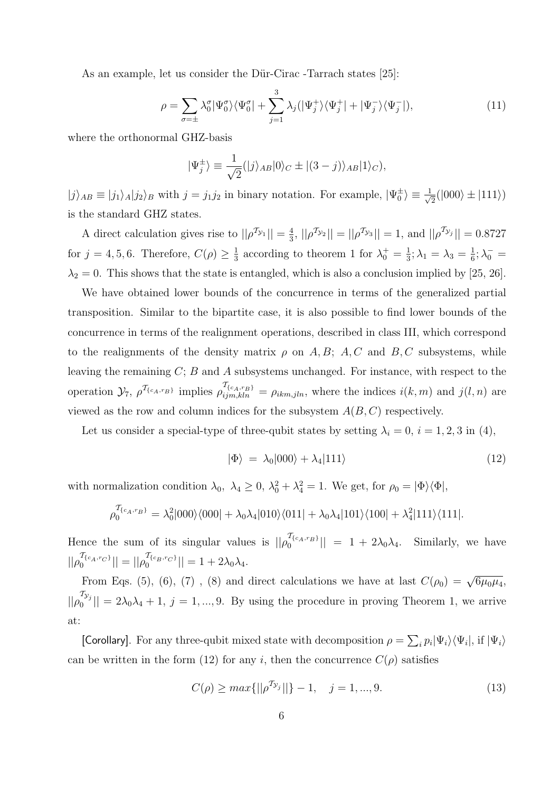As an example, let us consider the Dür-Cirac -Tarrach states [25]:

$$
\rho = \sum_{\sigma = \pm} \lambda_0^{\sigma} |\Psi_0^{\sigma}\rangle\langle\Psi_0^{\sigma}| + \sum_{j=1}^{3} \lambda_j (|\Psi_j^+\rangle\langle\Psi_j^+| + |\Psi_j^-\rangle\langle\Psi_j^-|), \tag{11}
$$

where the orthonormal GHZ-basis

$$
|\Psi_j^{\pm}\rangle \equiv \frac{1}{\sqrt{2}}(|j\rangle_{AB}|0\rangle_C \pm |(3-j)\rangle_{AB}|1\rangle_C),
$$

 $|j\rangle_{AB} \equiv |j_1\rangle_A |j_2\rangle_B$  with  $j = j_1 j_2$  in binary notation. For example,  $|\Psi_0^{\pm}\rangle \equiv \frac{1}{\sqrt{2}}$  $\frac{1}{2}(|000\rangle \pm |111\rangle)$ is the standard GHZ states.

A direct calculation gives rise to  $||\rho^{\mathcal{T}_{\mathcal{Y}_1}}|| = \frac{4}{3}$  $\frac{4}{3}$ ,  $||\rho^{2}v_2|| = ||\rho^{2}v_3|| = 1$ , and  $||\rho^{2}v_3|| = 0.8727$ for  $j = 4, 5, 6$ . Therefore,  $C(\rho) \geq \frac{1}{3}$  $\frac{1}{3}$  according to theorem 1 for  $\lambda_0^+ = \frac{1}{3}$  $\frac{1}{3}$ ;  $\lambda_1 = \lambda_3 = \frac{1}{6}$  $\frac{1}{6}$ ;  $\lambda_0^-$  =  $\lambda_2 = 0$ . This shows that the state is entangled, which is also a conclusion implied by [25, 26].

We have obtained lower bounds of the concurrence in terms of the generalized partial transposition. Similar to the bipartite case, it is also possible to find lower bounds of the concurrence in terms of the realignment operations, described in class III, which correspond to the realignments of the density matrix  $\rho$  on A, B; A, C and B, C subsystems, while leaving the remaining  $C$ ;  $B$  and  $A$  subsystems unchanged. For instance, with respect to the operation  $\mathcal{Y}_7$ ,  $\rho^{\mathcal{T}_{\{c_A,r_B\}}}$  implies  $\rho_{ijm,kln}^{\mathcal{T}_{\{c_A,r_B\}}} = \rho_{ikm,jln}$ , where the indices  $i(k,m)$  and  $j(l,n)$  are viewed as the row and column indices for the subsystem  $A(B, C)$  respectively.

Let us consider a special-type of three-qubit states by setting  $\lambda_i = 0$ ,  $i = 1, 2, 3$  in (4),

$$
|\Phi\rangle = \lambda_0|000\rangle + \lambda_4|111\rangle \tag{12}
$$

with normalization condition  $\lambda_0$ ,  $\lambda_4 \geq 0$ ,  $\lambda_0^2 + \lambda_4^2 = 1$ . We get, for  $\rho_0 = |\Phi\rangle\langle\Phi|$ ,

$$
\rho_0^{\mathcal{T}_{\{c_A, r_B\}}} = \lambda_0^2 |000\rangle\langle 000| + \lambda_0 \lambda_4 |010\rangle\langle 011| + \lambda_0 \lambda_4 |101\rangle\langle 100| + \lambda_4^2 |111\rangle\langle 111|.
$$

Hence the sum of its singular values is  $||\rho_0^{I_{\{c_A,r_B\}}}|| = 1 + 2\lambda_0\lambda_4$ . Similarly, we have  $||\rho_0^{I_{\{c_A, r_C\}}}|| = ||\rho_0^{I_{\{c_B, r_C\}}}|| = 1 + 2\lambda_0\lambda_4.$ 

From Eqs. (5), (6), (7), (8) and direct calculations we have at last  $C(\rho_0) = \sqrt{6\mu_0\mu_4}$ ,  $||\rho_0^{2y_j}$  $||\mathbf{v}_0 - \mathbf{v}_j|| = 2\lambda_0\lambda_4 + 1$ ,  $j = 1, ..., 9$ . By using the procedure in proving Theorem 1, we arrive at:

[Corollary]. For any three-qubit mixed state with decomposition  $\rho = \sum_i p_i |\Psi_i\rangle\langle\Psi_i|$ , if  $|\Psi_i\rangle$ can be written in the form (12) for any i, then the concurrence  $C(\rho)$  satisfies

$$
C(\rho) \ge \max\{||\rho^{\mathcal{T}_{\mathcal{Y}_j}}||\} - 1, \quad j = 1, ..., 9.
$$
\n(13)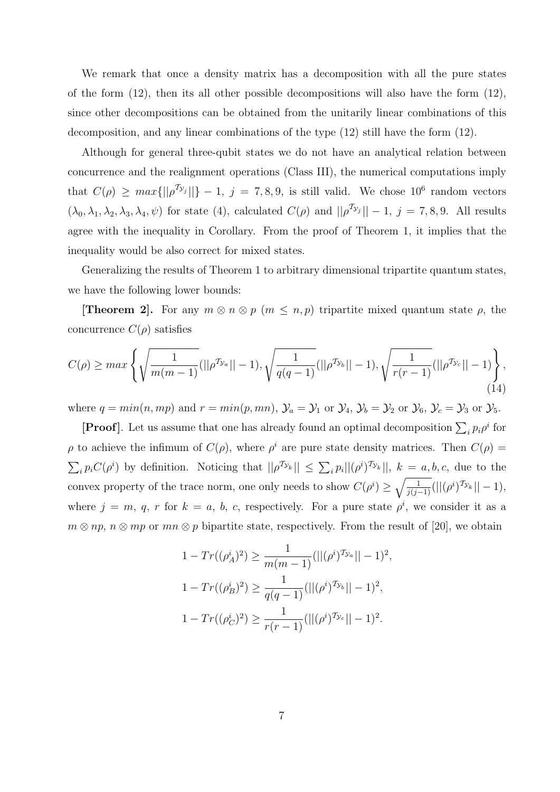We remark that once a density matrix has a decomposition with all the pure states of the form  $(12)$ , then its all other possible decompositions will also have the form  $(12)$ , since other decompositions can be obtained from the unitarily linear combinations of this decomposition, and any linear combinations of the type  $(12)$  still have the form  $(12)$ .

Although for general three-qubit states we do not have an analytical relation between concurrence and the realignment operations (Class III), the numerical computations imply that  $C(\rho) \geq max\{||\rho^{T_{y_j}}||\} - 1, j = 7, 8, 9$ , is still valid. We chose 10<sup>6</sup> random vectors  $(\lambda_0, \lambda_1, \lambda_2, \lambda_3, \lambda_4, \psi)$  for state (4), calculated  $C(\rho)$  and  $||\rho^{2y_j}|| - 1$ ,  $j = 7, 8, 9$ . All results agree with the inequality in Corollary. From the proof of Theorem 1, it implies that the inequality would be also correct for mixed states.

Generalizing the results of Theorem 1 to arbitrary dimensional tripartite quantum states, we have the following lower bounds:

**[Theorem 2].** For any  $m \otimes n \otimes p$   $(m \leq n, p)$  tripartite mixed quantum state  $\rho$ , the concurrence  $C(\rho)$  satisfies

$$
C(\rho) \ge \max\left\{\sqrt{\frac{1}{m(m-1)}}(||\rho^{\mathcal{T}_{\mathcal{Y}_a}}|| - 1), \sqrt{\frac{1}{q(q-1)}}(||\rho^{\mathcal{T}_{\mathcal{Y}_b}}|| - 1), \sqrt{\frac{1}{r(r-1)}}(||\rho^{\mathcal{T}_{\mathcal{Y}_c}}|| - 1)\right\},\tag{14}
$$

where  $q = min(n,mp)$  and  $r = min(p,mn)$ ,  $\mathcal{Y}_a = \mathcal{Y}_1$  or  $\mathcal{Y}_4$ ,  $\mathcal{Y}_b = \mathcal{Y}_2$  or  $\mathcal{Y}_6$ ,  $\mathcal{Y}_c = \mathcal{Y}_3$  or  $\mathcal{Y}_5$ .

**[Proof]**. Let us assume that one has already found an optimal decomposition  $\sum_i p_i \rho^i$  for  $\rho$  to achieve the infimum of  $C(\rho)$ , where  $\rho^i$  are pure state density matrices. Then  $C(\rho)$  =  $\sum_i p_i C(\rho^i)$  by definition. Noticing that  $||\rho^{\mathcal{T}_{\mathcal{Y}_k}}|| \leq \sum_i p_i ||(\rho^i)^{\mathcal{T}_{\mathcal{Y}_k}}||$ ,  $k = a, b, c$ , due to the convex property of the trace norm, one only needs to show  $C(\rho^i) \ge \sqrt{\frac{1}{j(j-1)}}(||(\rho^i)^{\mathcal{T}_{\mathcal{Y}_k}}|| - 1)$ , where  $j = m, q, r$  for  $k = a, b, c$ , respectively. For a pure state  $\rho^i$ , we consider it as a  $m \otimes np$ ,  $n \otimes mp$  or  $mn \otimes p$  bipartite state, respectively. From the result of [20], we obtain

$$
1 - Tr((\rho_A^i)^2) \ge \frac{1}{m(m-1)} (||(\rho^i)^{\mathcal{T}_{\mathcal{Y}_a}}|| - 1)^2,
$$
  

$$
1 - Tr((\rho_B^i)^2) \ge \frac{1}{q(q-1)} (||(\rho^i)^{\mathcal{T}_{\mathcal{Y}_b}}|| - 1)^2,
$$
  

$$
1 - Tr((\rho_C^i)^2) \ge \frac{1}{r(r-1)} (||(\rho^i)^{\mathcal{T}_{\mathcal{Y}_c}}|| - 1)^2.
$$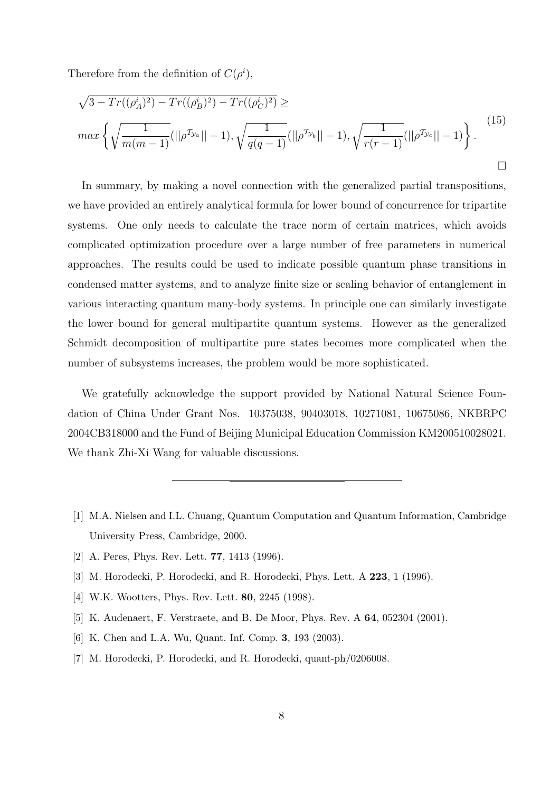Therefore from the definition of  $C(\rho^i)$ ,

$$
\sqrt{3 - Tr((\rho_A^i)^2) - Tr((\rho_B^i)^2) - Tr((\rho_C^i)^2)} \ge
$$
  
\n
$$
\max \left\{ \sqrt{\frac{1}{m(m-1)}} (||\rho^{\mathcal{I}_{\mathcal{Y}_a}}|| - 1), \sqrt{\frac{1}{q(q-1)}} (||\rho^{\mathcal{I}_{\mathcal{Y}_b}}|| - 1), \sqrt{\frac{1}{r(r-1)}} (||\rho^{\mathcal{I}_{\mathcal{Y}_c}}|| - 1) \right\}.
$$
\n(15)

In summary, by making a novel connection with the generalized partial transpositions, we have provided an entirely analytical formula for lower bound of concurrence for tripartite systems. One only needs to calculate the trace norm of certain matrices, which avoids complicated optimization procedure over a large number of free parameters in numerical approaches. The results could be used to indicate possible quantum phase transitions in condensed matter systems, and to analyze finite size or scaling behavior of entanglement in various interacting quantum many-body systems. In principle one can similarly investigate the lower bound for general multipartite quantum systems. However as the generalized Schmidt decomposition of multipartite pure states becomes more complicated when the number of subsystems increases, the problem would be more sophisticated.

We gratefully acknowledge the support provided by National Natural Science Foundation of China Under Grant Nos. 10375038, 90403018, 10271081, 10675086, NKBRPC 2004CB318000 and the Fund of Beijing Municipal Education Commission KM200510028021. We thank Zhi-Xi Wang for valuable discussions.

- [1] M.A. Nielsen and I.L. Chuang, Quantum Computation and Quantum Information, Cambridge University Press, Cambridge, 2000.
- [2] A. Peres, Phys. Rev. Lett. 77, 1413 (1996).
- [3] M. Horodecki, P. Horodecki, and R. Horodecki, Phys. Lett. A 223, 1 (1996).
- [4] W.K. Wootters, Phys. Rev. Lett. 80, 2245 (1998).
- [5] K. Audenaert, F. Verstraete, and B. De Moor, Phys. Rev. A 64, 052304 (2001).
- [6] K. Chen and L.A. Wu, Quant. Inf. Comp. 3, 193 (2003).
- [7] M. Horodecki, P. Horodecki, and R. Horodecki, quant-ph/0206008.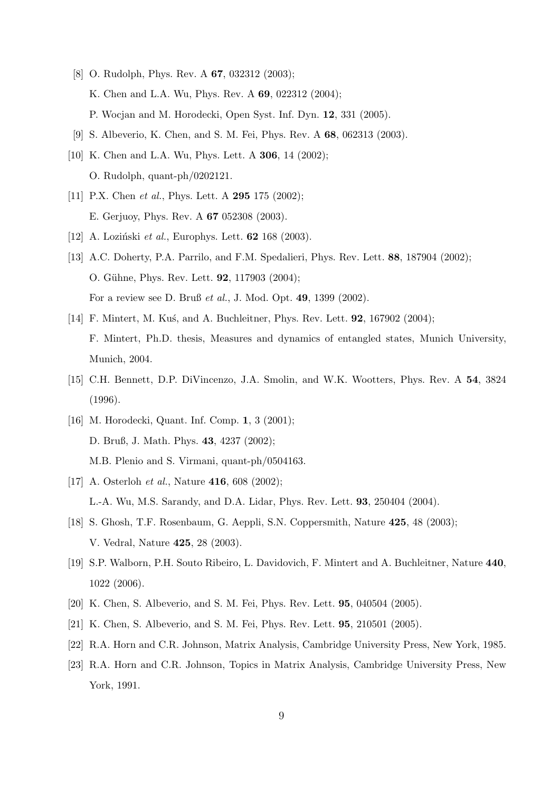- [8] O. Rudolph, Phys. Rev. A **67**, 032312 (2003); K. Chen and L.A. Wu, Phys. Rev. A 69, 022312 (2004); P. Wocjan and M. Horodecki, Open Syst. Inf. Dyn. 12, 331 (2005).
- [9] S. Albeverio, K. Chen, and S. M. Fei, Phys. Rev. A 68, 062313 (2003).
- [10] K. Chen and L.A. Wu, Phys. Lett. A **306**, 14 (2002); O. Rudolph, quant-ph/0202121.
- [11] P.X. Chen et al., Phys. Lett. A **295** 175 (2002); E. Gerjuoy, Phys. Rev. A 67 052308 (2003).
- [12] A. Loziński et al., Europhys. Lett.  $62$  168 (2003).
- [13] A.C. Doherty, P.A. Parrilo, and F.M. Spedalieri, Phys. Rev. Lett. 88, 187904 (2002); O. Gühne, Phys. Rev. Lett. **92**, 117903 (2004); For a review see D. Bruß et al., J. Mod. Opt. 49, 1399 (2002).
- [14] F. Mintert, M. Kus, and A. Buchleitner, Phys. Rev. Lett. **92**, 167902 (2004); F. Mintert, Ph.D. thesis, Measures and dynamics of entangled states, Munich University, Munich, 2004.
- [15] C.H. Bennett, D.P. DiVincenzo, J.A. Smolin, and W.K. Wootters, Phys. Rev. A 54, 3824 (1996).
- [16] M. Horodecki, Quant. Inf. Comp. 1, 3 (2001); D. Bruß, J. Math. Phys. 43, 4237 (2002); M.B. Plenio and S. Virmani, quant-ph/0504163.
- [17] A. Osterloh *et al.*, Nature **416**, 608 (2002); L.-A. Wu, M.S. Sarandy, and D.A. Lidar, Phys. Rev. Lett. 93, 250404 (2004).
- [18] S. Ghosh, T.F. Rosenbaum, G. Aeppli, S.N. Coppersmith, Nature 425, 48 (2003); V. Vedral, Nature 425, 28 (2003).
- [19] S.P. Walborn, P.H. Souto Ribeiro, L. Davidovich, F. Mintert and A. Buchleitner, Nature 440, 1022 (2006).
- [20] K. Chen, S. Albeverio, and S. M. Fei, Phys. Rev. Lett. 95, 040504 (2005).
- [21] K. Chen, S. Albeverio, and S. M. Fei, Phys. Rev. Lett. 95, 210501 (2005).
- [22] R.A. Horn and C.R. Johnson, Matrix Analysis, Cambridge University Press, New York, 1985.
- [23] R.A. Horn and C.R. Johnson, Topics in Matrix Analysis, Cambridge University Press, New York, 1991.